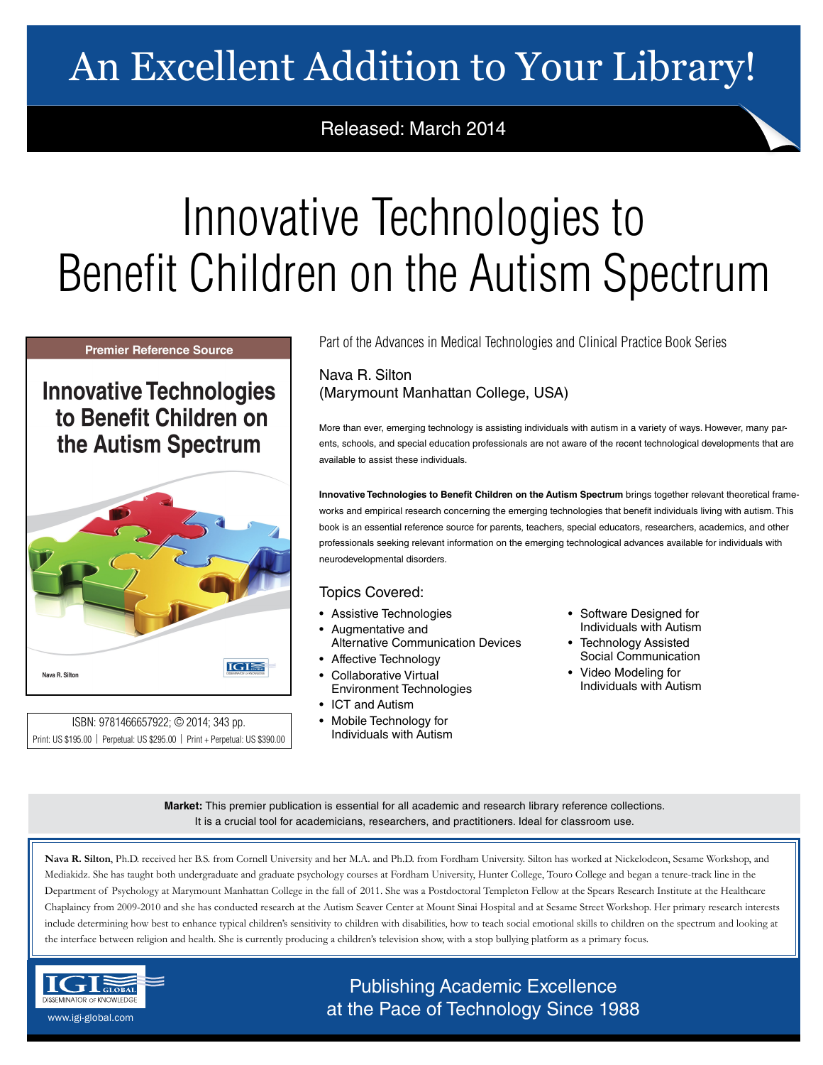# An Excellent Addition to Your Library!

# Released: March 2014

# Innovative Technologies to Benefit Children on the Autism Spectrum

#### **Premier Reference Source**

# **Innovative Technologies** to Benefit Children on the Autism Spectrum



ISBN: 9781466657922; © 2014; 343 pp. Print: US \$195.00 | Perpetual: US \$295.00 | Print + Perpetual: US \$390.00 Part of the Advances in Medical Technologies and Clinical Practice Book Series

### Nava R. Silton (Marymount Manhattan College, USA)

More than ever, emerging technology is assisting individuals with autism in a variety of ways. However, many parents, schools, and special education professionals are not aware of the recent technological developments that are available to assist these individuals.

**Innovative Technologies to Benefit Children on the Autism Spectrum** brings together relevant theoretical frameworks and empirical research concerning the emerging technologies that benefit individuals living with autism. This book is an essential reference source for parents, teachers, special educators, researchers, academics, and other professionals seeking relevant information on the emerging technological advances available for individuals with neurodevelopmental disorders.

### Topics Covered:

- Assistive Technologies
- Augmentative and Alternative Communication Devices
- Affective Technology
- Collaborative Virtual
- Environment Technologies • ICT and Autism
- Mobile Technology for Individuals with Autism
- Software Designed for Individuals with Autism
- **Technology Assisted** Social Communication
- Video Modeling for Individuals with Autism

**Market:** This premier publication is essential for all academic and research library reference collections. It is a crucial tool for academicians, researchers, and practitioners. Ideal for classroom use.

**Nava R. Silton**, Ph.D. received her B.S. from Cornell University and her M.A. and Ph.D. from Fordham University. Silton has worked at Nickelodeon, Sesame Workshop, and Mediakidz. She has taught both undergraduate and graduate psychology courses at Fordham University, Hunter College, Touro College and began a tenure-track line in the Department of Psychology at Marymount Manhattan College in the fall of 2011. She was a Postdoctoral Templeton Fellow at the Spears Research Institute at the Healthcare Chaplaincy from 2009-2010 and she has conducted research at the Autism Seaver Center at Mount Sinai Hospital and at Sesame Street Workshop. Her primary research interests include determining how best to enhance typical children's sensitivity to children with disabilities, how to teach social emotional skills to children on the spectrum and looking at the interface between religion and health. She is currently producing a children's television show, with a stop bullying platform as a primary focus.



Publishing Academic Excellence  $\frac{\text{SEMNADOR OF RNOWELOSE}}{\text{AWM-EQSDAL.}\text{COMELOSE}}$  at the Pace of Technology Since 1988